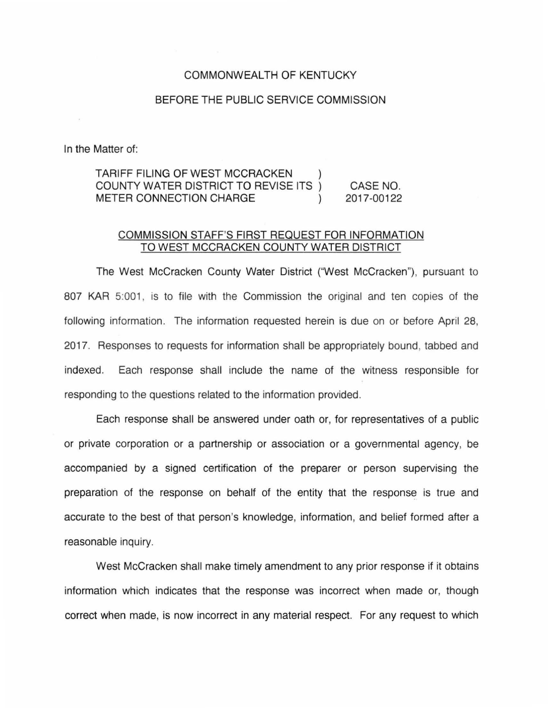## COMMONWEALTH OF KENTUCKY

## BEFORE THE PUBLIC SERVICE COMMISSION

In the Matter of:

## TARIFF FILING OF WEST MCCRACKEN COUNTY WATER DISTRICT TO REVISE ITS CASE NO. METER CONNECTION CHARGE  $\mathcal{L}$ 2017-00122

## COMMISSION STAFF'S FIRST REQUEST FOR INFORMATION TO WEST MCCRACKEN COUNTY WATER DISTRICT

The West McCracken County Water District ("West McCracken"), pursuant to 807 KAR 5:001, is to file with the Commission the original and ten copies of the following information. The information requested herein is due on or before April 28, 2017. Responses to requests for information shall be appropriately bound, tabbed and indexed. Each response shall include the name of the witness responsible for responding to the questions related to the information provided.

Each response shall be answered under oath or, for representatives of a public or private corporation or a partnership or association or a governmental agency, be accompanied by a signed certification of the preparer or person supervising the preparation of the response on behalf of the entity that the response is true and accurate to the best of that person's knowledge, information, and belief formed after a reasonable inquiry.

West McCracken shall make timely amendment to any prior response if it obtains information which indicates that the response was incorrect when made or, though correct when made, is now incorrect in any material respect. For any request to which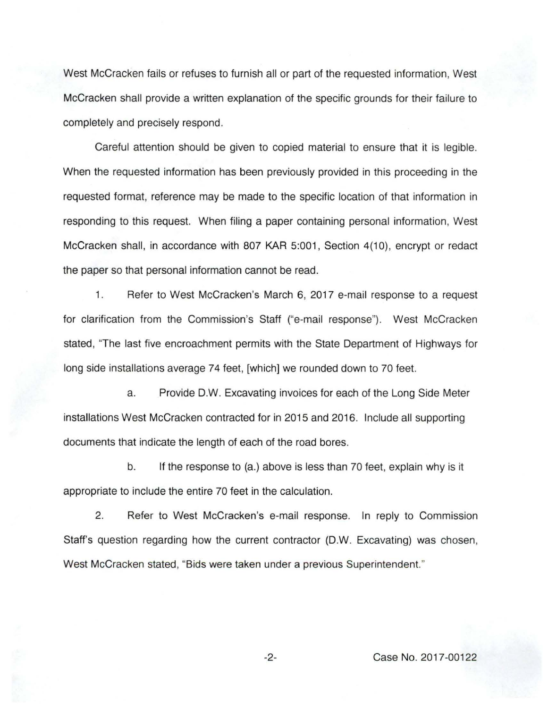West McCracken fails or refuses to furnish all or part of the requested information, West McCracken shall provide a written explanation of the specific grounds for their failure to completely and precisely respond.

Careful attention should be given to copied material to ensure that it is legible. When the requested information has been previously provided in this proceeding in the requested format, reference may be made to the specific location of that information in responding to this request. When filing a paper containing personal information, West McCracken shall, in accordance with 807 KAR 5:001, Section 4(10), encrypt or redact the paper so that personal information cannot be read.

1. Refer to West McCracken's March 6, 2017 e-mail response to a request for clarification from the Commission's Staff ("e-mail response"). West McCracken stated, "The last five encroachment permits with the State Department of Highways for long side installations average 74 feet, [which] we rounded down to 70 feet.

a. Provide D.W. Excavating invoices for each of the Long Side Meter installations West McCracken contracted for in 2015 and 2016. Include all supporting documents that indicate the length of each of the road bores.

b. If the response to (a.) above is less than 70 feet, explain why is it appropriate to include the entire 70 feet in the calculation.

2. Refer to West McCracken's e-mail response. In reply to Commission Staff's question regarding how the current contractor (D.W. Excavating) was chosen, West McCracken stated, "Bids were taken under a previous Superintendent."

-2- Case No. 2017-00122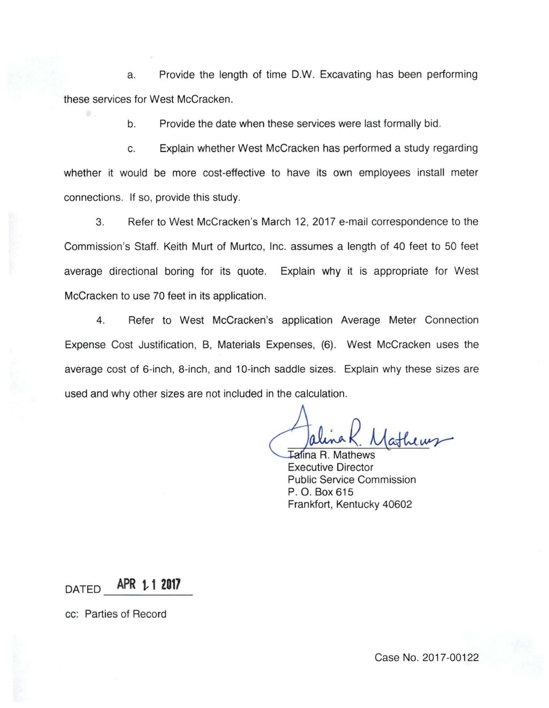a. Provide the length of time D.W. Excavating has been performing these services for West McCracken.

b. Provide the date when these services were last formally bid.

c. Explain whether West McCracken has performed a study regarding whether it would be more cost-effective to have its own employees install meter connections. If so, provide this study.

3. Refer to West McCracken's March 12, 2017 e-mail correspondence to the Commission's Staff. Keith Murt of Murtco, Inc. assumes a length of 40 feet to 50 feet average directional boring for its quote. Explain why it is appropriate for West McCracken to use 70 feet in its application.

4. Refer to West McCracken's application Average Meter Connection Expense Cost Justification, B, Materials Expenses, (6). West McCracken uses the average cost of 6-inch, 8-inch, and 10-inch saddle sizes. Explain why these sizes are used and why other sizes are not included in the calculation.

**Talina R. Mathews** Executive Director Public Service Commission P. 0. Box 615 Frankfort, Kentucky 40602

DATED **APR t, 1 2017** -------

cc: Parties of Record

Case No. 2017-00122